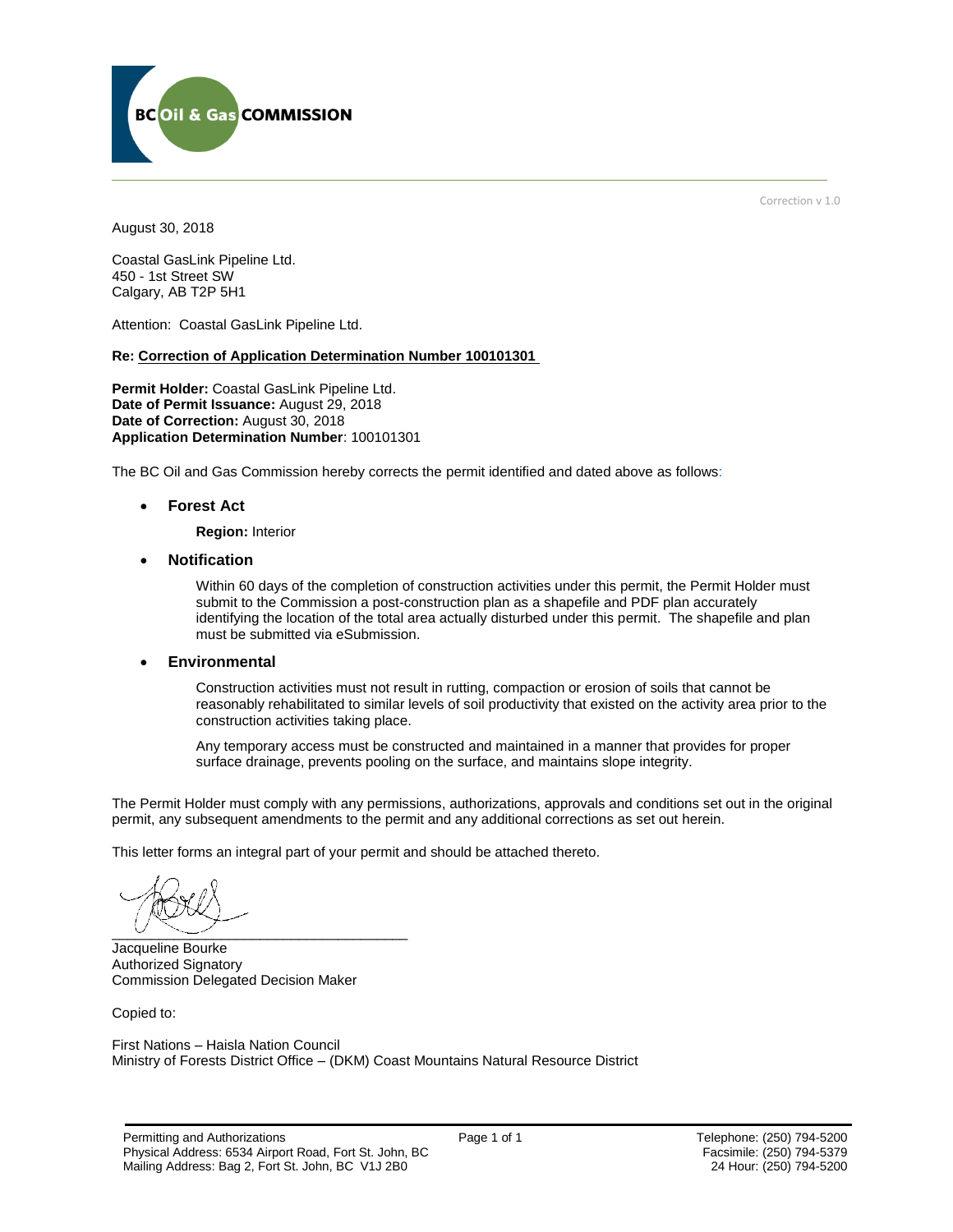

Correction v 1.0

August 30, 2018

Coastal GasLink Pipeline Ltd. 450 - 1st Street SW Calgary, AB T2P 5H1

Attention: Coastal GasLink Pipeline Ltd.

#### **Re: Correction of Application Determination Number 100101301**

**Permit Holder:** Coastal GasLink Pipeline Ltd. **Date of Permit Issuance:** August 29, 2018 Date of Correction: August 30, 2018 **Application Determination Number**: 100101301

The BC Oil and Gas Commission hereby corrects the permit identified and dated above as follows:

**Forest Act** 

**Region:** Interior

**Notification** 

Within 60 days of the completion of construction activities under this permit, the Permit Holder must submit to the Commission a post-construction plan as a shapefile and PDF plan accurately identifying the location of the total area actually disturbed under this permit. The shapefile and plan must be submitted via eSubmission.

**Environmental**

Construction activities must not result in rutting, compaction or erosion of soils that cannot be reasonably rehabilitated to similar levels of soil productivity that existed on the activity area prior to the construction activities taking place.

Any temporary access must be constructed and maintained in a manner that provides for proper surface drainage, prevents pooling on the surface, and maintains slope integrity.

The Permit Holder must comply with any permissions, authorizations, approvals and conditions set out in the original permit, any subsequent amendments to the permit and any additional corrections as set out herein.

This letter forms an integral part of your permit and should be attached thereto.

 $\overline{\phantom{a}}$   $\overline{\phantom{a}}$   $\overline{\phantom{a}}$   $\overline{\phantom{a}}$   $\overline{\phantom{a}}$   $\overline{\phantom{a}}$   $\overline{\phantom{a}}$   $\overline{\phantom{a}}$   $\overline{\phantom{a}}$   $\overline{\phantom{a}}$   $\overline{\phantom{a}}$   $\overline{\phantom{a}}$   $\overline{\phantom{a}}$   $\overline{\phantom{a}}$   $\overline{\phantom{a}}$   $\overline{\phantom{a}}$   $\overline{\phantom{a}}$   $\overline{\phantom{a}}$   $\overline{\$ 

Jacqueline Bourke Authorized Signatory Commission Delegated Decision Maker

Copied to:

First Nations – Haisla Nation Council Ministry of Forests District Office – (DKM) Coast Mountains Natural Resource District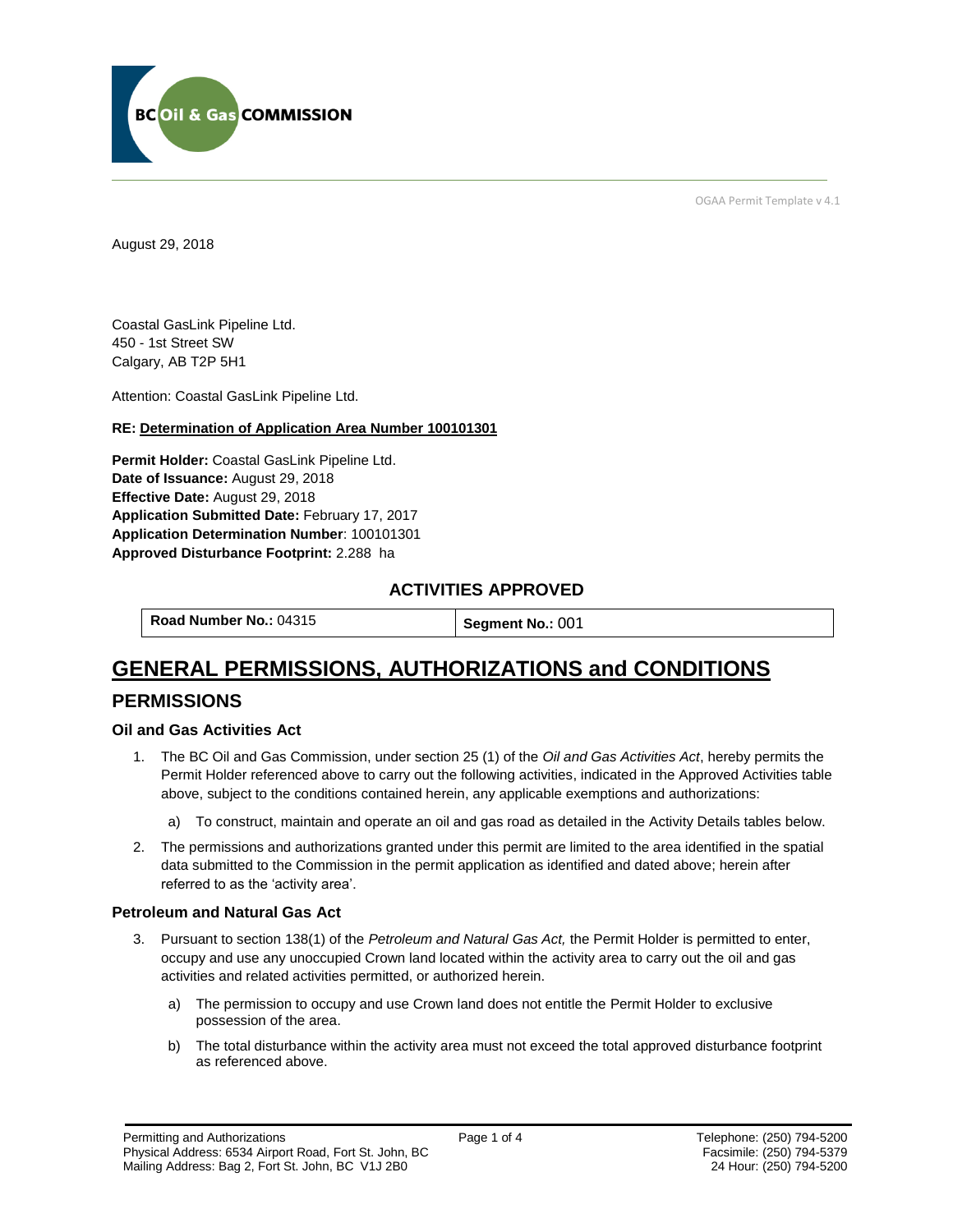

OGAA Permit Template v 4.1

August 29, 2018

Coastal GasLink Pipeline Ltd. 450 - 1st Street SW Calgary, AB T2P 5H1

Attention: Coastal GasLink Pipeline Ltd.

#### **RE: Determination of Application Area Number 100101301**

**Permit Holder:** Coastal GasLink Pipeline Ltd. **Date of Issuance:** August 29, 2018 **Effective Date:** August 29, 2018 **Application Submitted Date:** February 17, 2017 **Application Determination Number**: 100101301 **Approved Disturbance Footprint:** 2.288 ha

# **ACTIVITIES APPROVED**

**Road Number No.: 04315 <b>Segment No.: 001** 

# **GENERAL PERMISSIONS, AUTHORIZATIONS and CONDITIONS**

# **PERMISSIONS**

#### **Oil and Gas Activities Act**

- 1. The BC Oil and Gas Commission, under section 25 (1) of the *Oil and Gas Activities Act*, hereby permits the Permit Holder referenced above to carry out the following activities, indicated in the Approved Activities table above, subject to the conditions contained herein, any applicable exemptions and authorizations:
	- a) To construct, maintain and operate an oil and gas road as detailed in the Activity Details tables below.
- 2. The permissions and authorizations granted under this permit are limited to the area identified in the spatial data submitted to the Commission in the permit application as identified and dated above; herein after referred to as the 'activity area'.

#### **Petroleum and Natural Gas Act**

- 3. Pursuant to section 138(1) of the *Petroleum and Natural Gas Act,* the Permit Holder is permitted to enter, occupy and use any unoccupied Crown land located within the activity area to carry out the oil and gas activities and related activities permitted, or authorized herein.
	- a) The permission to occupy and use Crown land does not entitle the Permit Holder to exclusive possession of the area.
	- b) The total disturbance within the activity area must not exceed the total approved disturbance footprint as referenced above.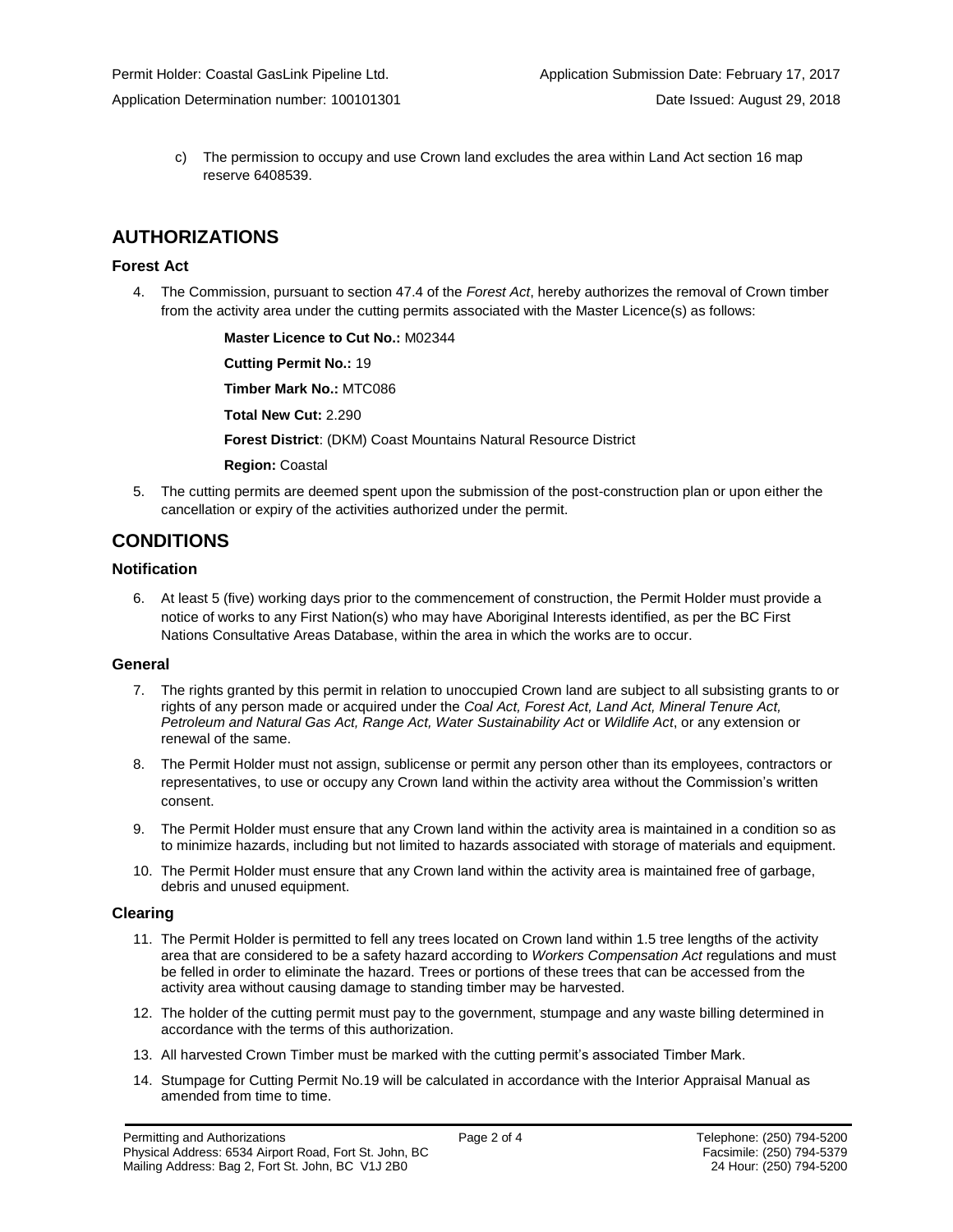c) The permission to occupy and use Crown land excludes the area within Land Act section 16 map reserve 6408539.

# **AUTHORIZATIONS**

## **Forest Act**

4. The Commission, pursuant to section 47.4 of the *Forest Act*, hereby authorizes the removal of Crown timber from the activity area under the cutting permits associated with the Master Licence(s) as follows:

> **Master Licence to Cut No.:** M02344 **Cutting Permit No.:** 19 **Timber Mark No.:** MTC086 **Total New Cut:** 2.290 **Forest District**: (DKM) Coast Mountains Natural Resource District **Region:** Coastal

5. The cutting permits are deemed spent upon the submission of the post-construction plan or upon either the cancellation or expiry of the activities authorized under the permit.

# **CONDITIONS**

## **Notification**

6. At least 5 (five) working days prior to the commencement of construction, the Permit Holder must provide a notice of works to any First Nation(s) who may have Aboriginal Interests identified, as per the BC First Nations Consultative Areas Database, within the area in which the works are to occur.

### **General**

- 7. The rights granted by this permit in relation to unoccupied Crown land are subject to all subsisting grants to or rights of any person made or acquired under the *Coal Act, Forest Act, Land Act, Mineral Tenure Act, Petroleum and Natural Gas Act, Range Act, Water Sustainability Act* or *Wildlife Act*, or any extension or renewal of the same.
- 8. The Permit Holder must not assign, sublicense or permit any person other than its employees, contractors or representatives, to use or occupy any Crown land within the activity area without the Commission's written consent.
- 9. The Permit Holder must ensure that any Crown land within the activity area is maintained in a condition so as to minimize hazards, including but not limited to hazards associated with storage of materials and equipment.
- 10. The Permit Holder must ensure that any Crown land within the activity area is maintained free of garbage, debris and unused equipment.

### **Clearing**

- 11. The Permit Holder is permitted to fell any trees located on Crown land within 1.5 tree lengths of the activity area that are considered to be a safety hazard according to *Workers Compensation Act* regulations and must be felled in order to eliminate the hazard. Trees or portions of these trees that can be accessed from the activity area without causing damage to standing timber may be harvested.
- 12. The holder of the cutting permit must pay to the government, stumpage and any waste billing determined in accordance with the terms of this authorization.
- 13. All harvested Crown Timber must be marked with the cutting permit's associated Timber Mark.
- 14. Stumpage for Cutting Permit No.19 will be calculated in accordance with the Interior Appraisal Manual as amended from time to time.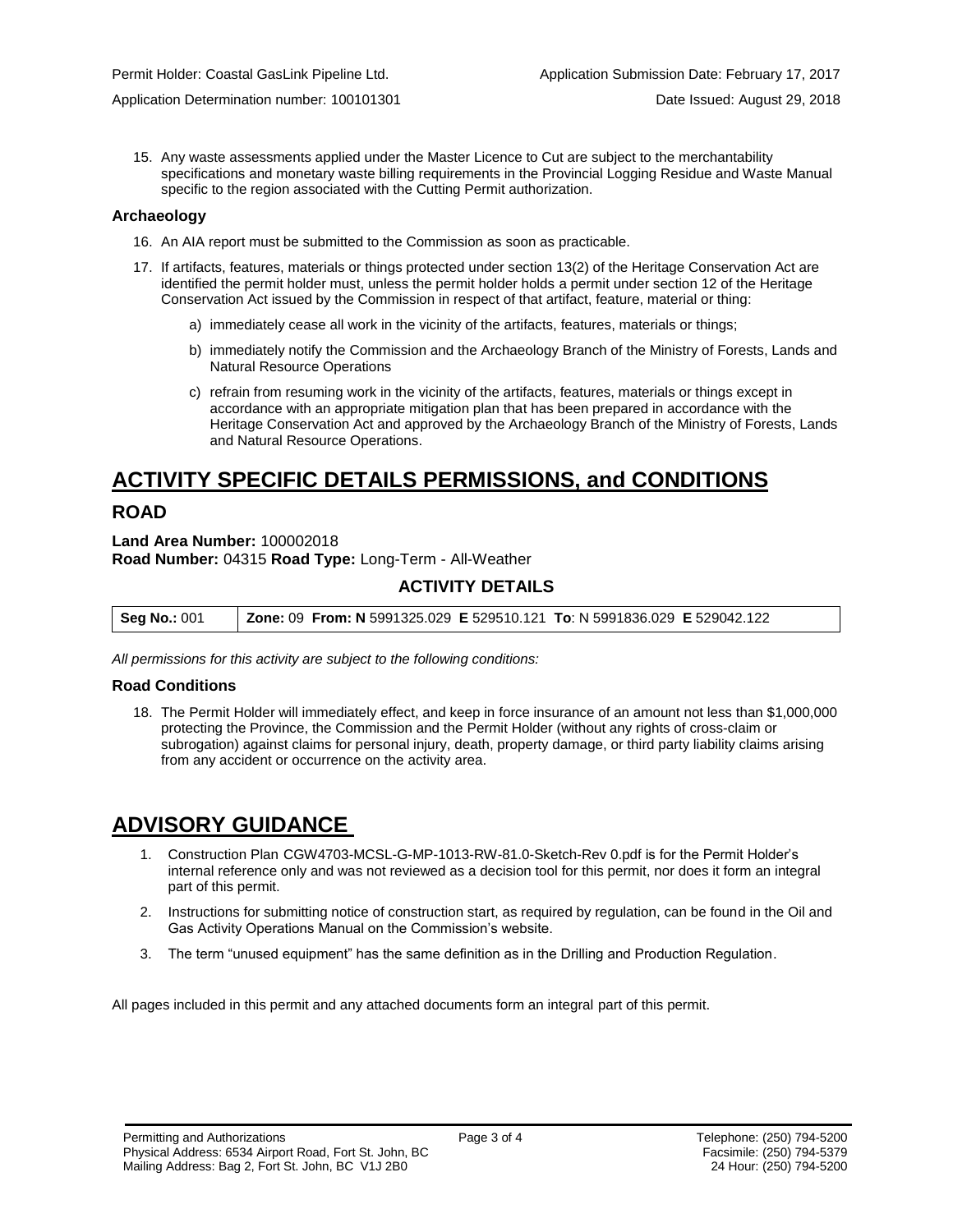15. Any waste assessments applied under the Master Licence to Cut are subject to the merchantability specifications and monetary waste billing requirements in the Provincial Logging Residue and Waste Manual specific to the region associated with the Cutting Permit authorization.

#### **Archaeology**

- 16. An AIA report must be submitted to the Commission as soon as practicable.
- 17. If artifacts, features, materials or things protected under section 13(2) of the Heritage Conservation Act are identified the permit holder must, unless the permit holder holds a permit under section 12 of the Heritage Conservation Act issued by the Commission in respect of that artifact, feature, material or thing:
	- a) immediately cease all work in the vicinity of the artifacts, features, materials or things;
	- b) immediately notify the Commission and the Archaeology Branch of the Ministry of Forests, Lands and Natural Resource Operations
	- c) refrain from resuming work in the vicinity of the artifacts, features, materials or things except in accordance with an appropriate mitigation plan that has been prepared in accordance with the Heritage Conservation Act and approved by the Archaeology Branch of the Ministry of Forests, Lands and Natural Resource Operations.

# **ACTIVITY SPECIFIC DETAILS PERMISSIONS, and CONDITIONS**

# **ROAD**

**Land Area Number:** 100002018 **Road Number:** 04315 **Road Type:** Long-Term - All-Weather

# **ACTIVITY DETAILS**

| <b>Seg No.: 001</b> | <b>Zone: 09 From: N</b> 5991325.029 <b>E</b> 529510.121 To: N 5991836.029 <b>E</b> 529042.122 |  |
|---------------------|-----------------------------------------------------------------------------------------------|--|
|---------------------|-----------------------------------------------------------------------------------------------|--|

*All permissions for this activity are subject to the following conditions:*

### **Road Conditions**

18. The Permit Holder will immediately effect, and keep in force insurance of an amount not less than \$1,000,000 protecting the Province, the Commission and the Permit Holder (without any rights of cross-claim or subrogation) against claims for personal injury, death, property damage, or third party liability claims arising from any accident or occurrence on the activity area.

# **ADVISORY GUIDANCE**

- 1. Construction Plan CGW4703-MCSL-G-MP-1013-RW-81.0-Sketch-Rev 0.pdf is for the Permit Holder's internal reference only and was not reviewed as a decision tool for this permit, nor does it form an integral part of this permit.
- 2. Instructions for submitting notice of construction start, as required by regulation, can be found in the Oil and Gas Activity Operations Manual on the Commission's website.
- 3. The term "unused equipment" has the same definition as in the Drilling and Production Regulation.

All pages included in this permit and any attached documents form an integral part of this permit.